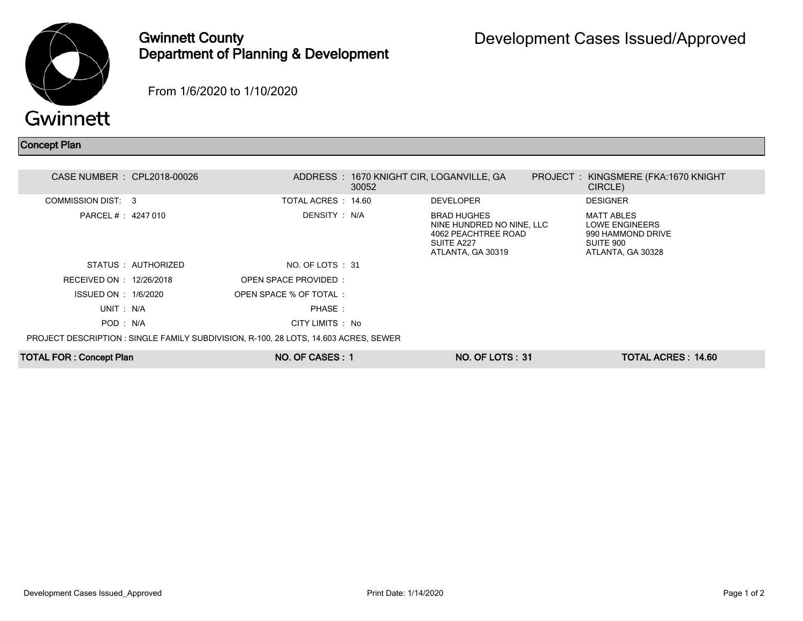

## Gwinnett County Department of Planning & Development

From 1/6/2020 to 1/10/2020

## Concept Plan

| CASE NUMBER : CPL2018-00026    |                                                                                            |                       | ADDRESS: 1670 KNIGHT CIR, LOGANVILLE, GA<br>30052 |                                                                                                           | PROJECT : KINGSMERE (FKA:1670 KNIGHT<br>CIRCLE)                                                   |  |
|--------------------------------|--------------------------------------------------------------------------------------------|-----------------------|---------------------------------------------------|-----------------------------------------------------------------------------------------------------------|---------------------------------------------------------------------------------------------------|--|
| COMMISSION DIST: 3             |                                                                                            | TOTAL ACRES: 14.60    |                                                   | <b>DEVELOPER</b>                                                                                          | <b>DESIGNER</b>                                                                                   |  |
| PARCEL # : 4247 010            |                                                                                            | DENSITY : N/A         |                                                   | <b>BRAD HUGHES</b><br>NINE HUNDRED NO NINE, LLC<br>4062 PEACHTREE ROAD<br>SUITE A227<br>ATLANTA, GA 30319 | <b>MATT ABLES</b><br><b>LOWE ENGINEERS</b><br>990 HAMMOND DRIVE<br>SUITE 900<br>ATLANTA, GA 30328 |  |
| STATUS AUTHORIZED              |                                                                                            | NO. OF LOTS : 31      |                                                   |                                                                                                           |                                                                                                   |  |
| RECEIVED ON : 12/26/2018       |                                                                                            | OPEN SPACE PROVIDED:  |                                                   |                                                                                                           |                                                                                                   |  |
| <b>ISSUED ON : 1/6/2020</b>    |                                                                                            | OPEN SPACE % OF TOTAL |                                                   |                                                                                                           |                                                                                                   |  |
| UNIT: N/A                      |                                                                                            | PHASE:                |                                                   |                                                                                                           |                                                                                                   |  |
| POD: N/A                       |                                                                                            | CITY LIMITS : No      |                                                   |                                                                                                           |                                                                                                   |  |
|                                | <b>PROJECT DESCRIPTION: SINGLE FAMILY SUBDIVISION, R-100, 28 LOTS, 14.603 ACRES, SEWER</b> |                       |                                                   |                                                                                                           |                                                                                                   |  |
| <b>TOTAL FOR: Concept Plan</b> |                                                                                            | NO. OF CASES: 1       |                                                   | <b>NO. OF LOTS: 31</b>                                                                                    | <b>TOTAL ACRES: 14.60</b>                                                                         |  |